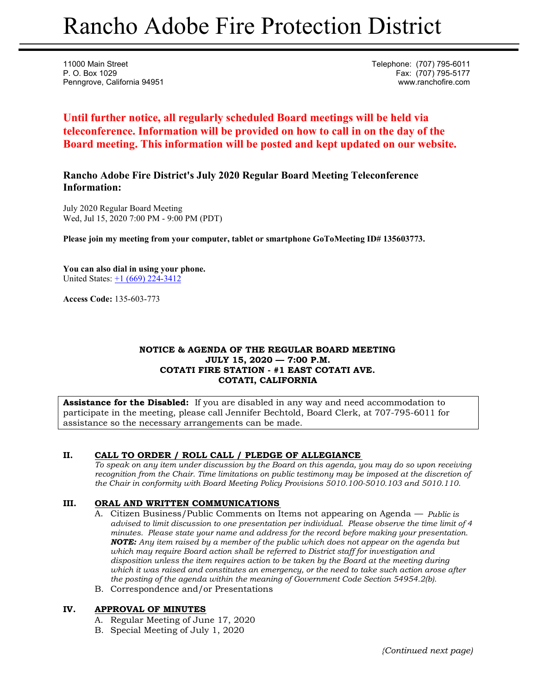# Rancho Adobe Fire Protection District

11000 Main Street **Telephone:** (707) 795-6011 P. O. Box 1029 Fax: (707) 795-5177 Penngrove, California 94951 www.ranchofire.com

**Until further notice, all regularly scheduled Board meetings will be held via teleconference. Information will be provided on how to call in on the day of the Board meeting. This information will be posted and kept updated on our website.**

**Rancho Adobe Fire District's July 2020 Regular Board Meeting Teleconference Information:** 

July 2020 Regular Board Meeting Wed, Jul 15, 2020 7:00 PM - 9:00 PM (PDT)

**Please join my meeting from your computer, tablet or smartphone GoToMeeting ID# 135603773.** 

**You can also dial in using your phone.**  United States:  $\pm 1$  (669) 224-3412

**Access Code:** 135-603-773

#### **NOTICE & AGENDA OF THE REGULAR BOARD MEETING JULY 15, 2020 — 7:00 P.M. COTATI FIRE STATION - #1 EAST COTATI AVE. COTATI, CALIFORNIA**

**Assistance for the Disabled:** If you are disabled in any way and need accommodation to participate in the meeting, please call Jennifer Bechtold, Board Clerk, at 707-795-6011 for assistance so the necessary arrangements can be made.

## **II. CALL TO ORDER / ROLL CALL / PLEDGE OF ALLEGIANCE**

*To speak on any item under discussion by the Board on this agenda, you may do so upon receiving recognition from the Chair. Time limitations on public testimony may be imposed at the discretion of the Chair in conformity with Board Meeting Policy Provisions 5010.100-5010.103 and 5010.110.* 

## **III. ORAL AND WRITTEN COMMUNICATIONS**

- A. Citizen Business/Public Comments on Items not appearing on Agenda *Public is advised to limit discussion to one presentation per individual. Please observe the time limit of 4 minutes. Please state your name and address for the record before making your presentation. NOTE: Any item raised by a member of the public which does not appear on the agenda but which may require Board action shall be referred to District staff for investigation and disposition unless the item requires action to be taken by the Board at the meeting during which it was raised and constitutes an emergency, or the need to take such action arose after the posting of the agenda within the meaning of Government Code Section 54954.2(b).*
- B. Correspondence and/or Presentations

#### **IV. APPROVAL OF MINUTES**

- A. Regular Meeting of June 17, 2020
- B. Special Meeting of July 1, 2020